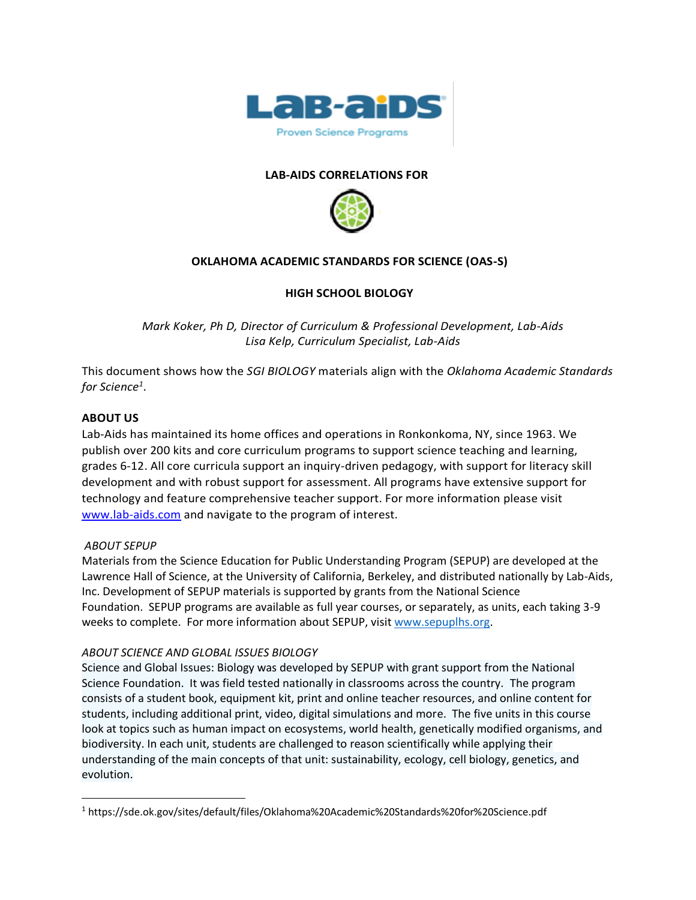

## **LAB-AIDS CORRELATIONS FOR**



## **OKLAHOMA ACADEMIC STANDARDS FOR SCIENCE (OAS-S)**

## **HIGH SCHOOL BIOLOGY**

*Mark Koker, Ph D, Director of Curriculum & Professional Development, Lab-Aids Lisa Kelp, Curriculum Specialist, Lab-Aids*

This document shows how the *SGI BIOLOGY* materials align with the *Oklahoma Academic Standards for Science<sup>1</sup>* .

#### **ABOUT US**

Lab-Aids has maintained its home offices and operations in Ronkonkoma, NY, since 1963. We publish over 200 kits and core curriculum programs to support science teaching and learning, grades 6-12. All core curricula support an inquiry-driven pedagogy, with support for literacy skill development and with robust support for assessment. All programs have extensive support for technology and feature comprehensive teacher support. For more information please visit [www.lab-aids.com](http://www.lab-aids.com/) and navigate to the program of interest.

#### *ABOUT SEPUP*

Materials from the Science Education for Public Understanding Program (SEPUP) are developed at the Lawrence Hall of Science, at the University of California, Berkeley, and distributed nationally by Lab-Aids, Inc. Development of SEPUP materials is supported by grants from the National Science Foundation. SEPUP programs are available as full year courses, or separately, as units, each taking 3-9 weeks to complete. For more information about SEPUP, visit [www.sepuplhs.org.](http://www.sepuplhs.org/)

#### *ABOUT SCIENCE AND GLOBAL ISSUES BIOLOGY*

Science and Global Issues: Biology was developed by SEPUP with grant support from the National Science Foundation. It was field tested nationally in classrooms across the country. The program consists of a student book, equipment kit, print and online teacher resources, and online content for students, including additional print, video, digital simulations and more. The five units in this course look at topics such as human impact on ecosystems, world health, genetically modified organisms, and biodiversity. In each unit, students are challenged to reason scientifically while applying their understanding of the main concepts of that unit: sustainability, ecology, cell biology, genetics, and evolution.

<sup>1</sup> https://sde.ok.gov/sites/default/files/Oklahoma%20Academic%20Standards%20for%20Science.pdf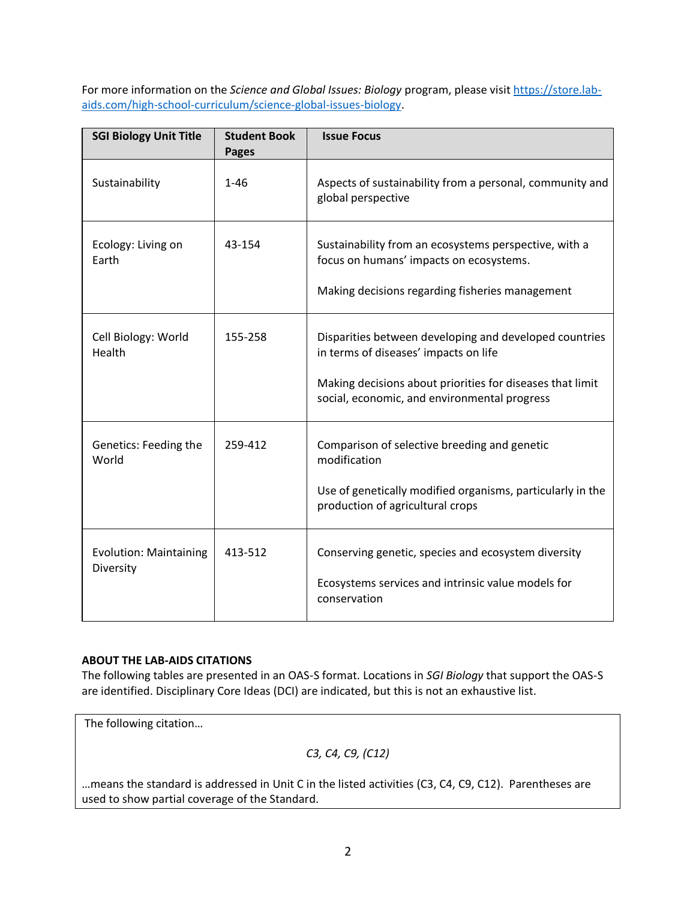For more information on the *Science and Global Issues: Biology* program, please visit [https://store.lab](https://store.lab-aids.com/high-school-curriculum/science-global-issues-biology)[aids.com/high-school-curriculum/science-global-issues-biology.](https://store.lab-aids.com/high-school-curriculum/science-global-issues-biology)

| <b>SGI Biology Unit Title</b>              | <b>Student Book</b><br><b>Pages</b> | <b>Issue Focus</b>                                                                                                                                                                                           |
|--------------------------------------------|-------------------------------------|--------------------------------------------------------------------------------------------------------------------------------------------------------------------------------------------------------------|
| Sustainability                             | $1 - 46$                            | Aspects of sustainability from a personal, community and<br>global perspective                                                                                                                               |
| Ecology: Living on<br>Earth                | 43-154                              | Sustainability from an ecosystems perspective, with a<br>focus on humans' impacts on ecosystems.<br>Making decisions regarding fisheries management                                                          |
| Cell Biology: World<br>Health              | 155-258                             | Disparities between developing and developed countries<br>in terms of diseases' impacts on life<br>Making decisions about priorities for diseases that limit<br>social, economic, and environmental progress |
| Genetics: Feeding the<br>World             | 259-412                             | Comparison of selective breeding and genetic<br>modification<br>Use of genetically modified organisms, particularly in the<br>production of agricultural crops                                               |
| <b>Evolution: Maintaining</b><br>Diversity | 413-512                             | Conserving genetic, species and ecosystem diversity<br>Ecosystems services and intrinsic value models for<br>conservation                                                                                    |

## **ABOUT THE LAB-AIDS CITATIONS**

The following tables are presented in an OAS-S format. Locations in *SGI Biology* that support the OAS-S are identified. Disciplinary Core Ideas (DCI) are indicated, but this is not an exhaustive list.

The following citation…

*C3, C4, C9, (C12)*

…means the standard is addressed in Unit C in the listed activities (C3, C4, C9, C12). Parentheses are used to show partial coverage of the Standard.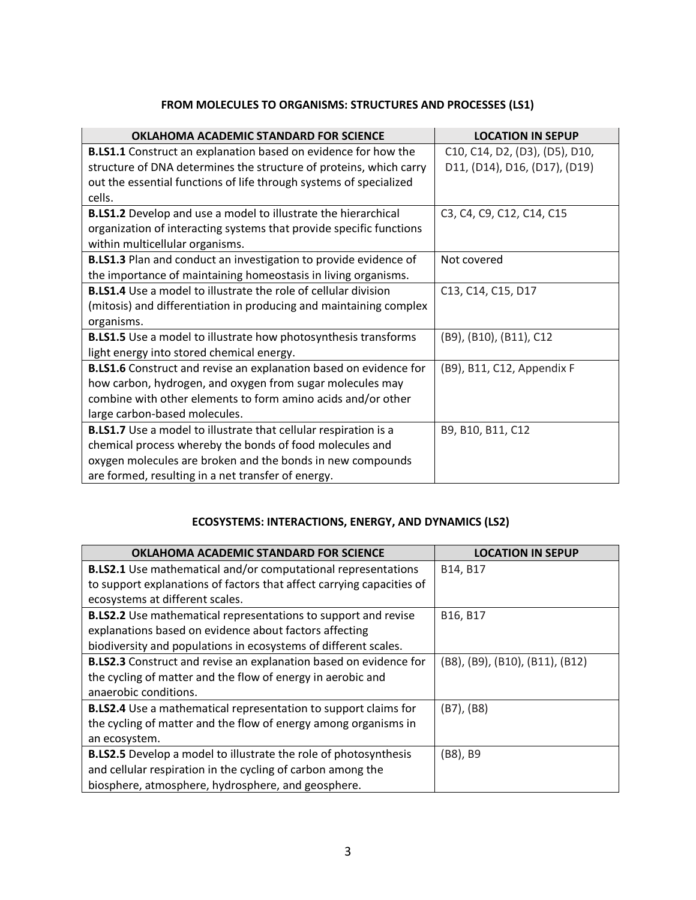# **FROM MOLECULES TO ORGANISMS: STRUCTURES AND PROCESSES (LS1)**

| OKLAHOMA ACADEMIC STANDARD FOR SCIENCE                                  | <b>LOCATION IN SEPUP</b>       |
|-------------------------------------------------------------------------|--------------------------------|
| <b>B.LS1.1</b> Construct an explanation based on evidence for how the   | C10, C14, D2, (D3), (D5), D10, |
| structure of DNA determines the structure of proteins, which carry      | D11, (D14), D16, (D17), (D19)  |
| out the essential functions of life through systems of specialized      |                                |
| cells.                                                                  |                                |
| <b>B.LS1.2</b> Develop and use a model to illustrate the hierarchical   | C3, C4, C9, C12, C14, C15      |
| organization of interacting systems that provide specific functions     |                                |
| within multicellular organisms.                                         |                                |
| <b>B.LS1.3</b> Plan and conduct an investigation to provide evidence of | Not covered                    |
| the importance of maintaining homeostasis in living organisms.          |                                |
| <b>B.LS1.4</b> Use a model to illustrate the role of cellular division  | C13, C14, C15, D17             |
| (mitosis) and differentiation in producing and maintaining complex      |                                |
| organisms.                                                              |                                |
| <b>B.LS1.5</b> Use a model to illustrate how photosynthesis transforms  | (B9), (B10), (B11), C12        |
| light energy into stored chemical energy.                               |                                |
| B.LS1.6 Construct and revise an explanation based on evidence for       | (B9), B11, C12, Appendix F     |
| how carbon, hydrogen, and oxygen from sugar molecules may               |                                |
| combine with other elements to form amino acids and/or other            |                                |
| large carbon-based molecules.                                           |                                |
| <b>B.LS1.7</b> Use a model to illustrate that cellular respiration is a | B9, B10, B11, C12              |
| chemical process whereby the bonds of food molecules and                |                                |
| oxygen molecules are broken and the bonds in new compounds              |                                |
| are formed, resulting in a net transfer of energy.                      |                                |

# **ECOSYSTEMS: INTERACTIONS, ENERGY, AND DYNAMICS (LS2)**

| OKLAHOMA ACADEMIC STANDARD FOR SCIENCE                                   | <b>LOCATION IN SEPUP</b>        |
|--------------------------------------------------------------------------|---------------------------------|
| <b>B.LS2.1</b> Use mathematical and/or computational representations     | B14, B17                        |
| to support explanations of factors that affect carrying capacities of    |                                 |
| ecosystems at different scales.                                          |                                 |
| <b>B.LS2.2</b> Use mathematical representations to support and revise    | B16, B17                        |
| explanations based on evidence about factors affecting                   |                                 |
| biodiversity and populations in ecosystems of different scales.          |                                 |
| <b>B.LS2.3</b> Construct and revise an explanation based on evidence for | (B8), (B9), (B10), (B11), (B12) |
| the cycling of matter and the flow of energy in aerobic and              |                                 |
| anaerobic conditions.                                                    |                                 |
| <b>B.LS2.4</b> Use a mathematical representation to support claims for   | $(B7)$ , $(B8)$                 |
| the cycling of matter and the flow of energy among organisms in          |                                 |
| an ecosystem.                                                            |                                 |
| <b>B.LS2.5</b> Develop a model to illustrate the role of photosynthesis  | (B8), B9                        |
| and cellular respiration in the cycling of carbon among the              |                                 |
| biosphere, atmosphere, hydrosphere, and geosphere.                       |                                 |